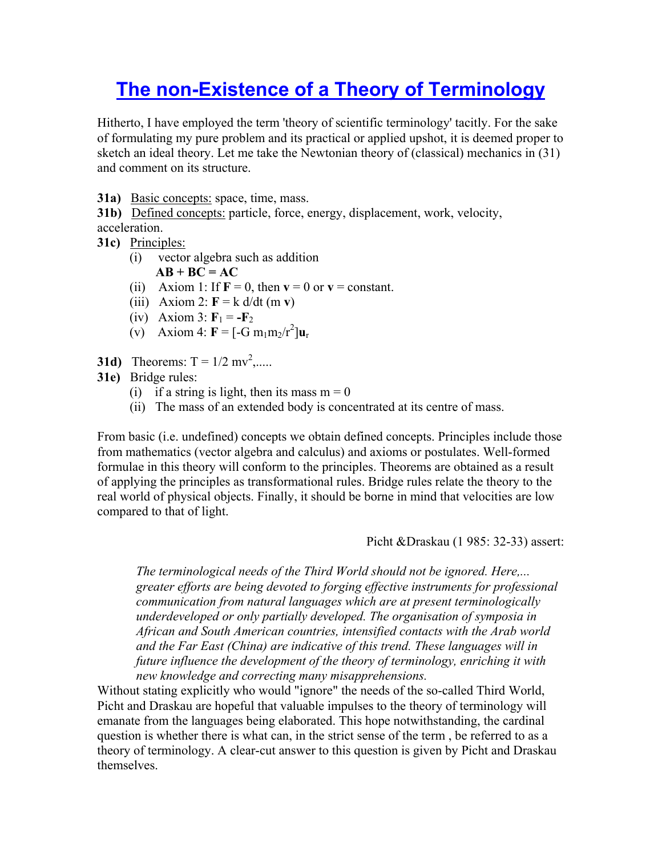## **The non-Existence of a Theory of Terminology**

Hitherto, I have employed the term 'theory of scientific terminology' tacitly. For the sake of formulating my pure problem and its practical or applied upshot, it is deemed proper to sketch an ideal theory. Let me take the Newtonian theory of (classical) mechanics in (31) and comment on its structure.

**31a)** Basic concepts: space, time, mass.

**31b)** Defined concepts: particle, force, energy, displacement, work, velocity, acceleration.

- **31c)** Principles:
	- (i) vector algebra such as addition  $AB + BC = AC$
	- (ii) Axiom 1: If  $\mathbf{F} = 0$ , then  $\mathbf{v} = 0$  or  $\mathbf{v} = \text{constant}$ .
	- (iii) Axiom 2:  $\mathbf{F} = \mathbf{k} \, d/dt \, (\mathbf{m} \, \mathbf{v})$
	- (iv) Axiom 3:  $\mathbf{F}_1 = -\mathbf{F}_2$
- (v) Axiom 4:  $F = [-G \, m_1 m_2/r^2] u_r$
- **31d)** Theorems:  $T = 1/2$  mv<sup>2</sup>,.....
- **31e)** Bridge rules:
	- (i) if a string is light, then its mass  $m = 0$
	- (ii) The mass of an extended body is concentrated at its centre of mass.

From basic (i.e. undefined) concepts we obtain defined concepts. Principles include those from mathematics (vector algebra and calculus) and axioms or postulates. Well-formed formulae in this theory will conform to the principles. Theorems are obtained as a result of applying the principles as transformational rules. Bridge rules relate the theory to the real world of physical objects. Finally, it should be borne in mind that velocities are low compared to that of light.

Picht &Draskau (1 985: 32-33) assert:

*The terminological needs of the Third World should not be ignored. Here,... greater efforts are being devoted to forging effective instruments for professional communication from natural languages which are at present terminologically underdeveloped or only partially developed. The organisation of symposia in African and South American countries, intensified contacts with the Arab world and the Far East (China) are indicative of this trend. These languages will in future influence the development of the theory of terminology, enriching it with new knowledge and correcting many misapprehensions.* 

Without stating explicitly who would "ignore" the needs of the so-called Third World, Picht and Draskau are hopeful that valuable impulses to the theory of terminology will emanate from the languages being elaborated. This hope notwithstanding, the cardinal question is whether there is what can, in the strict sense of the term , be referred to as a theory of terminology. A clear-cut answer to this question is given by Picht and Draskau themselves.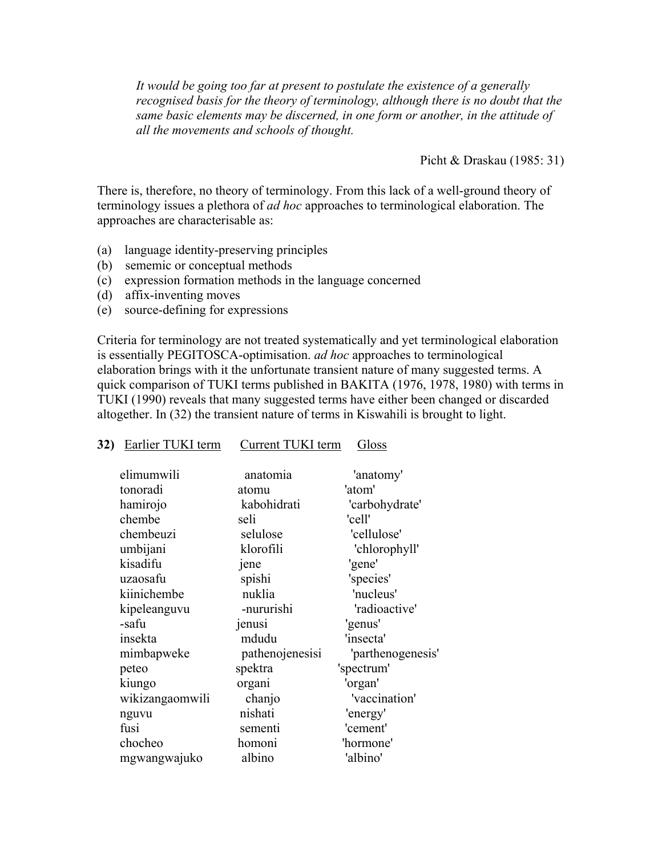*It would be going too far at present to postulate the existence of a generally recognised basis for the theory of terminology, although there is no doubt that the same basic elements may be discerned, in one form or another, in the attitude of all the movements and schools of thought.*

Picht & Draskau (1985: 31)

There is, therefore, no theory of terminology. From this lack of a well-ground theory of terminology issues a plethora of *ad hoc* approaches to terminological elaboration. The approaches are characterisable as:

- (a) language identity-preserving principles
- (b) sememic or conceptual methods
- (c) expression formation methods in the language concerned

**32)** Earlier TUKI term Current TUKI term Gloss

- (d) affix-inventing moves
- (e) source-defining for expressions

Criteria for terminology are not treated systematically and yet terminological elaboration is essentially PEGITOSCA-optimisation. *ad hoc* approaches to terminological elaboration brings with it the unfortunate transient nature of many suggested terms. A quick comparison of TUKI terms published in BAKITA (1976, 1978, 1980) with terms in TUKI (1990) reveals that many suggested terms have either been changed or discarded altogether. In (32) the transient nature of terms in Kiswahili is brought to light.

| elimumwili      | anatomia        | 'anatomy'         |
|-----------------|-----------------|-------------------|
| tonoradi        | atomu           | 'atom'            |
| hamirojo        | kabohidrati     | 'carbohydrate'    |
| chembe          | seli            | 'cell'            |
| chembeuzi       | selulose        | 'cellulose'       |
| umbijani        | klorofili       | 'chlorophyll'     |
| kisadifu        | jene            | 'gene'            |
| uzaosafu        | spishi          | 'species'         |
| kiinichembe     | nuklia          | 'nucleus'         |
| kipeleanguvu    | -nururishi      | 'radioactive'     |
| -safu           | jenusi          | 'genus'           |
| insekta         | mdudu           | 'insecta'         |
| mimbapweke      | pathenojenesisi | 'parthenogenesis' |
| peteo           | spektra         | 'spectrum'        |
| kiungo          | organi          | 'organ'           |
| wikizangaomwili | chanjo          | 'vaccination'     |
| nguvu           | nishati         | 'energy'          |
| fusi            | sementi         | 'cement'          |
| chocheo         | homoni          | 'hormone'         |
| mgwangwajuko    | albino          | 'albino'          |
|                 |                 |                   |